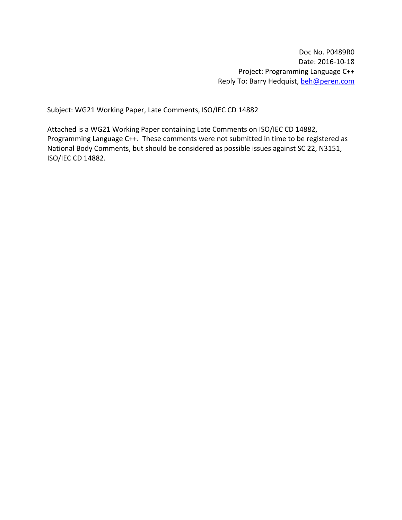Subject: WG21 Working Paper, Late Comments, ISO/IEC CD 14882

Attached is a WG21 Working Paper containing Late Comments on ISO/IEC CD 14882, Programming Language C++. These comments were not submitted in time to be registered as National Body Comments, but should be considered as possible issues against SC 22, N3151, ISO/IEC CD 14882.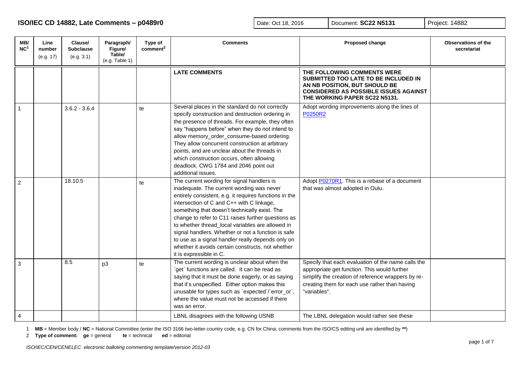**ISO/IEC CD 14882, Late Comments – p0489r0 Date: Oct 18, 2016** Document: **SC22 N5131** Project: 14882

| MB/<br>NC <sup>1</sup> | Line<br>number<br>(e.g. 17) | Clause/<br><b>Subclause</b><br>(e.g. 3.1) | Paragraph/<br>Figure/<br>Table/<br>(e.g. Table 1) | Type of<br>comment <sup>2</sup> | <b>Comments</b>                                                                                                                                                                                                                                                                                                                                                                                                                                                                                                                                      | <b>Proposed change</b>                                                                                                                                                                                                    | <b>Observations of the</b><br>secretariat |
|------------------------|-----------------------------|-------------------------------------------|---------------------------------------------------|---------------------------------|------------------------------------------------------------------------------------------------------------------------------------------------------------------------------------------------------------------------------------------------------------------------------------------------------------------------------------------------------------------------------------------------------------------------------------------------------------------------------------------------------------------------------------------------------|---------------------------------------------------------------------------------------------------------------------------------------------------------------------------------------------------------------------------|-------------------------------------------|
|                        |                             |                                           |                                                   |                                 | <b>LATE COMMENTS</b>                                                                                                                                                                                                                                                                                                                                                                                                                                                                                                                                 | THE FOLLOWING COMMENTS WERE<br>SUBMITTED TOO LATE TO BE INCLUDED IN<br>AN NB POSITION, BUT SHOULD BE<br><b>CONSIDERED AS POSSIBLE ISSUES AGAINST</b><br>THE WORKING PAPER SC22 N5131.                                     |                                           |
| $\mathbf{1}$           |                             | $3.6.2 - 3.6.4$                           |                                                   | te                              | Several places in the standard do not correctly<br>specify construction and destruction ordering in<br>the presence of threads. For example, they often<br>say "happens before" when they do not intend to<br>allow memory_order_consume-based ordering.<br>They allow concurrent construction at arbitrary<br>points, and are unclear about the threads in<br>which construction occurs, often allowing<br>deadlock. CWG 1784 and 2046 point out<br>additional issues.                                                                              | Adopt wording improvements along the lines of<br>P0250R2                                                                                                                                                                  |                                           |
| 2                      |                             | 18.10.5                                   |                                                   | te                              | The current wording for signal handlers is<br>inadequate. The current wording was never<br>entirely consistent, e.g. it requires functions in the<br>intersection of C and C++ with C linkage,<br>something that doesn't technically exist. The<br>change to refer to C11 raises further questions as<br>to whether thread_local variables are allowed in<br>signal handlers. Whether or not a function is safe<br>to use as a signal handler really depends only on<br>whether it avoids certain constructs, not whether<br>it is expressible in C. | Adopt P0270R1. This is a rebase of a document<br>that was almost adopted in Oulu.                                                                                                                                         |                                           |
| 3<br>$\overline{4}$    |                             | 8.5                                       | p <sub>3</sub>                                    | te                              | The current wording is unclear about when the<br>get functions are called. It can be read as<br>saying that it must be done eagerly, or as saying<br>that it's unspecified. Either option makes this<br>unusable for types such as 'expected'/'error_or',<br>where the value must not be accessed if there<br>was an error.                                                                                                                                                                                                                          | Specify that each evaluation of the name calls the<br>appropriate get function. This would further<br>simplify the creation of reference wrappers by re-<br>creating them for each use rather than having<br>"variables". |                                           |
|                        |                             |                                           |                                                   |                                 | LBNL disagrees with the following USNB                                                                                                                                                                                                                                                                                                                                                                                                                                                                                                               | The LBNL delegation would rather see these                                                                                                                                                                                |                                           |

1 **MB** = Member body / **NC** = National Committee (enter the ISO 3166 two-letter country code, e.g. CN for China; comments from the ISO/CS editing unit are identified by **\*\***)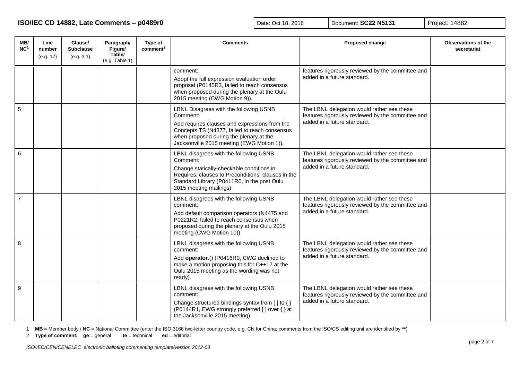| MB/<br>NC <sup>1</sup> | Line<br>number<br>(e.g. 17) | Clause/<br><b>Subclause</b><br>(e.g. 3.1) | Paragraph/<br>Figure/<br>Table/<br>(e.g. Table 1) | Type of<br>comment <sup>2</sup> | <b>Comments</b>                                                                                                                                                                                                                               | <b>Proposed change</b>                                                                                                         | <b>Observations of the</b><br>secretariat |
|------------------------|-----------------------------|-------------------------------------------|---------------------------------------------------|---------------------------------|-----------------------------------------------------------------------------------------------------------------------------------------------------------------------------------------------------------------------------------------------|--------------------------------------------------------------------------------------------------------------------------------|-------------------------------------------|
|                        |                             |                                           |                                                   |                                 | comment:<br>Adopt the full expression evaluation order<br>proposal (P0145R3, failed to reach consensus<br>when proposed during the plenary at the Oulu<br>2015 meeting (CWG Motion 9)).                                                       | features rigorously reviewed by the committee and<br>added in a future standard.                                               |                                           |
| 5                      |                             |                                           |                                                   |                                 | LBNL Disagrees with the following USNB<br>Comment:<br>Add requires clauses and expressions from the<br>Concepts TS (N4377, failed to reach consensus<br>when proposed during the plenary at the<br>Jacksonville 2015 meeting (EWG Motion 1)). | The LBNL delegation would rather see these<br>features rigorously reviewed by the committee and<br>added in a future standard. |                                           |
| 6                      |                             |                                           |                                                   |                                 | LBNL disagrees with the following USNB<br>Comment:<br>Change statically-checkable conditions in<br>Requires: clauses to Preconditions: clauses in the<br>Standard Library (P0411R0, in the post Oulu<br>2015 meeting mailings).               | The LBNL delegation would rather see these<br>features rigorously reviewed by the committee and<br>added in a future standard. |                                           |
| $\overline{7}$         |                             |                                           |                                                   |                                 | LBNL disagrees with the following USNB<br>comment:<br>Add default comparison operators (N4475 and<br>P0221R2, failed to reach consensus when<br>proposed during the plenary at the Oulu 2015<br>meeting (CWG Motion 10)).                     | The LBNL delegation would rather see these<br>features rigorously reviewed by the committee and<br>added in a future standard. |                                           |
| 8                      |                             |                                           |                                                   |                                 | LBNL disagrees with the following USNB<br>comment:<br>Add operator.() (P0416R0, CWG declined to<br>make a motion proposing this for C++17 at the<br>Oulu 2015 meeting as the wording was not<br>ready).                                       | The LBNL delegation would rather see these<br>features rigorously reviewed by the committee and<br>added in a future standard. |                                           |
| 9                      |                             |                                           |                                                   |                                 | LBNL disagrees with the following USNB<br>comment:<br>Change structured bindings syntax from [ ] to { }<br>(P0144R1, EWG strongly preferred [ ] over { } at<br>the Jacksonville 2015 meeting).                                                | The LBNL delegation would rather see these<br>features rigorously reviewed by the committee and<br>added in a future standard. |                                           |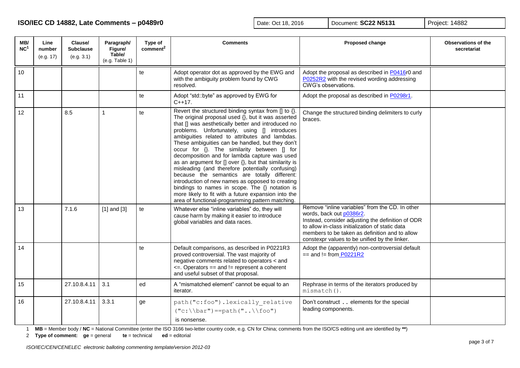**ISO/IEC CD 14882, Late Comments – p0489r0 Date: Oct 18, 2016** Document: **SC22 N5131** Project: 14882

| MB/<br>NC <sup>1</sup> | Line<br>number<br>(e.g. 17) | Clause/<br><b>Subclause</b><br>(e.g. 3.1) | Paragraph/<br>Figure/<br>Table/<br>(e.g. Table 1) | Type of<br>comment <sup>2</sup> | <b>Comments</b>                                                                                                                                                                                                                                                                                                                                                                                                                                                                                                                                                                                                                                                                                                                                                                                                       | Proposed change                                                                                                                                                                                                                                                                        | <b>Observations of the</b><br>secretariat |
|------------------------|-----------------------------|-------------------------------------------|---------------------------------------------------|---------------------------------|-----------------------------------------------------------------------------------------------------------------------------------------------------------------------------------------------------------------------------------------------------------------------------------------------------------------------------------------------------------------------------------------------------------------------------------------------------------------------------------------------------------------------------------------------------------------------------------------------------------------------------------------------------------------------------------------------------------------------------------------------------------------------------------------------------------------------|----------------------------------------------------------------------------------------------------------------------------------------------------------------------------------------------------------------------------------------------------------------------------------------|-------------------------------------------|
| 10                     |                             |                                           |                                                   | te                              | Adopt operator dot as approved by the EWG and<br>with the ambiguity problem found by CWG<br>resolved.                                                                                                                                                                                                                                                                                                                                                                                                                                                                                                                                                                                                                                                                                                                 | Adopt the proposal as described in P0416r0 and<br>P0252R2 with the revised wording addressing<br>CWG's observations.                                                                                                                                                                   |                                           |
| 11                     |                             |                                           |                                                   | te                              | Adopt "std::byte" as approved by EWG for<br>$C++17.$                                                                                                                                                                                                                                                                                                                                                                                                                                                                                                                                                                                                                                                                                                                                                                  | Adopt the proposal as described in P0298r1.                                                                                                                                                                                                                                            |                                           |
| 12                     |                             | 8.5                                       |                                                   | te                              | Revert the structured binding syntax from $[]$ to $[]$ .<br>The original proposal used $\{ \}$ , but it was asserted<br>that [] was aesthetically better and introduced no<br>problems. Unfortunately, using [] introduces<br>ambiguities related to attributes and lambdas.<br>These ambiguities can be handled, but they don't<br>occur for {}. The similarity between [] for<br>decomposition and for lambda capture was used<br>as an argument for $[]$ over $\{\}$ , but that similarity is<br>misleading (and therefore potentially confusing)<br>because the semantics are totally different:<br>introduction of new names as opposed to creating<br>bindings to names in scope. The {} notation is<br>more likely to fit with a future expansion into the<br>area of functional-programming pattern matching. | Change the structured binding delimiters to curly<br>braces.                                                                                                                                                                                                                           |                                           |
| 13                     |                             | 7.1.6                                     | $[1]$ and $[3]$                                   | te                              | Whatever else "inline variables" do, they will<br>cause harm by making it easier to introduce<br>global variables and data races.                                                                                                                                                                                                                                                                                                                                                                                                                                                                                                                                                                                                                                                                                     | Remove "inline variables" from the CD. In other<br>words, back out p0386r2.<br>Instead, consider adjusting the definition of ODR<br>to allow in-class initialization of static data<br>members to be taken as definition and to allow<br>constexpr values to be unified by the linker. |                                           |
| 14                     |                             |                                           |                                                   | te                              | Default comparisons, as described in P0221R3<br>proved controversial. The vast majority of<br>negative comments related to operators < and<br>$\leq$ . Operators == and != represent a coherent<br>and useful subset of that proposal.                                                                                                                                                                                                                                                                                                                                                                                                                                                                                                                                                                                | Adopt the (apparently) non-controversial default<br>$==$ and $!=$ from P0221R2                                                                                                                                                                                                         |                                           |
| 15                     |                             | 27.10.8.4.11                              | 3.1                                               | ed                              | A "mismatched element" cannot be equal to an<br>iterator.                                                                                                                                                                                                                                                                                                                                                                                                                                                                                                                                                                                                                                                                                                                                                             | Rephrase in terms of the iterators produced by<br>mismatch().                                                                                                                                                                                                                          |                                           |
| 16                     |                             | 27.10.8.4.11                              | 3.3.1                                             | ge                              | path ("c:foo").lexically relative<br>$("c:\\bar{''} == path("\setminus'$ foo")<br>is nonsense.                                                                                                                                                                                                                                                                                                                                                                                                                                                                                                                                                                                                                                                                                                                        | Don't construct elements for the special<br>leading components.                                                                                                                                                                                                                        |                                           |

1 **MB** = Member body / **NC** = National Committee (enter the ISO 3166 two-letter country code, e.g. CN for China; comments from the ISO/CS editing unit are identified by **\*\***)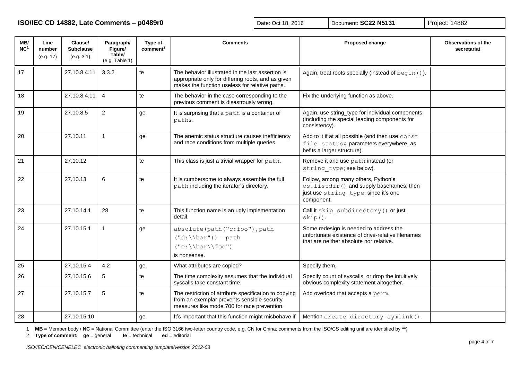| MB/<br>NC <sup>1</sup> | Line<br>number<br>(e.g. 17) | Clause/<br><b>Subclause</b><br>(e.g. 3.1) | Paragraph/<br>Figure/<br>Table/<br>(e.g. Table 1) | Type of<br>comment <sup>2</sup> | <b>Comments</b>                                                                                                                                           | Proposed change                                                                                                                        | <b>Observations of the</b><br>secretariat |
|------------------------|-----------------------------|-------------------------------------------|---------------------------------------------------|---------------------------------|-----------------------------------------------------------------------------------------------------------------------------------------------------------|----------------------------------------------------------------------------------------------------------------------------------------|-------------------------------------------|
| 17                     |                             | 27.10.8.4.11                              | 3.3.2                                             | te                              | The behavior illustrated in the last assertion is<br>appropriate only for differing roots, and as given<br>makes the function useless for relative paths. | Again, treat roots specially (instead of begin ()).                                                                                    |                                           |
| 18                     |                             | 27.10.8.4.11                              | $\overline{4}$                                    | te                              | The behavior in the case corresponding to the<br>previous comment is disastrously wrong.                                                                  | Fix the underlying function as above.                                                                                                  |                                           |
| 19                     |                             | 27.10.8.5                                 | $\overline{2}$                                    | ge                              | It is surprising that a path is a container of<br>paths.                                                                                                  | Again, use string_type for individual components<br>(including the special leading components for<br>consistency).                     |                                           |
| 20                     |                             | 27.10.11                                  | 1                                                 | ge                              | The anemic status structure causes inefficiency<br>and race conditions from multiple queries.                                                             | Add to it if at all possible (and then use const<br>file status& parameters everywhere, as<br>befits a larger structure).              |                                           |
| 21                     |                             | 27.10.12                                  |                                                   | te                              | This class is just a trivial wrapper for path.                                                                                                            | Remove it and use path instead (or<br>string type; see below).                                                                         |                                           |
| 22                     |                             | 27.10.13                                  | 6                                                 | te                              | It is cumbersome to always assemble the full<br>path including the iterator's directory.                                                                  | Follow, among many others, Python's<br>os.listdir() and supply basenames; then<br>just use string type, since it's one<br>component.   |                                           |
| 23                     |                             | 27.10.14.1                                | 28                                                | te                              | This function name is an ugly implementation<br>detail.                                                                                                   | Call it skip subdirectory () or just<br>$skip()$ .                                                                                     |                                           |
| 24                     |                             | 27.10.15.1                                |                                                   | ge                              | absolute(path("c:foo"), path<br>$(''d:\\bar{''}) == path$<br>$("c:\\bar{\bar{\text{foo}}")$<br>is nonsense.                                               | Some redesign is needed to address the<br>unfortunate existence of drive-relative filenames<br>that are neither absolute nor relative. |                                           |
| 25                     |                             | 27.10.15.4                                | 4.2                                               | ge                              | What attributes are copied?                                                                                                                               | Specify them.                                                                                                                          |                                           |
| 26                     |                             | 27.10.15.6                                | 5                                                 | te                              | The time complexity assumes that the individual<br>syscalls take constant time.                                                                           | Specify count of syscalls, or drop the intuitively<br>obvious complexity statement altogether.                                         |                                           |
| 27                     |                             | 27.10.15.7                                | 5                                                 | te                              | The restriction of attribute specification to copying<br>from an exemplar prevents sensible security<br>measures like mode 700 for race prevention.       | Add overload that accepts a perm.                                                                                                      |                                           |
| 28                     |                             | 27.10.15.10                               |                                                   | ge                              | It's important that this function might misbehave if                                                                                                      | Mention create directory symlink().                                                                                                    |                                           |

2 **Type of comment: ge** = general **te** = technical **ed** = editorial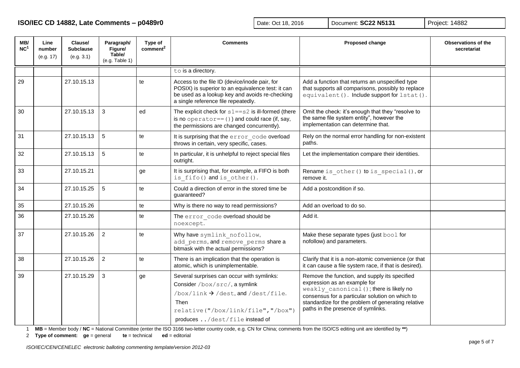**ISO/IEC CD 14882, Late Comments – p0489r0 Date: Oct 18, 2016** Document: **SC22 N5131** Project: 14882

| MB/<br>NC <sup>1</sup> | Line<br>number<br>(e.g. 17) | Clause/<br><b>Subclause</b><br>(e.g. 3.1) | Paragraph/<br>Figure/<br>Table/<br>(e.g. Table 1) | Type of<br>comment <sup>2</sup> | <b>Comments</b>                                                                                                                                                                                                     | Proposed change                                                                                                                                                                                                                                                         | <b>Observations of the</b><br>secretariat |
|------------------------|-----------------------------|-------------------------------------------|---------------------------------------------------|---------------------------------|---------------------------------------------------------------------------------------------------------------------------------------------------------------------------------------------------------------------|-------------------------------------------------------------------------------------------------------------------------------------------------------------------------------------------------------------------------------------------------------------------------|-------------------------------------------|
|                        |                             |                                           |                                                   |                                 | to is a directory.                                                                                                                                                                                                  |                                                                                                                                                                                                                                                                         |                                           |
| 29                     |                             | 27.10.15.13                               |                                                   | te                              | Access to the file ID (device/inode pair, for<br>POSIX) is superior to an equivalence test: it can<br>be used as a lookup key and avoids re-checking<br>a single reference file repeatedly.                         | Add a function that returns an unspecified type<br>that supports all comparisons, possibly to replace<br>equivalent(). Include support for lstat().                                                                                                                     |                                           |
| 30                     |                             | 27.10.15.13                               | $\mathbf{3}$                                      | ed                              | The explicit check for $s1 = s2$ is ill-formed (there<br>is no operator== $()$ ) and could race (if, say,<br>the permissions are changed concurrently).                                                             | Omit the check: it's enough that they "resolve to<br>the same file system entity", however the<br>implementation can determine that.                                                                                                                                    |                                           |
| 31                     |                             | 27.10.15.13                               | $5\phantom{1}$                                    | te                              | It is surprising that the error code overload<br>throws in certain, very specific, cases.                                                                                                                           | Rely on the normal error handling for non-existent<br>paths.                                                                                                                                                                                                            |                                           |
| 32                     |                             | 27.10.15.13                               | $5\phantom{1}$                                    | te                              | In particular, it is unhelpful to reject special files<br>outright.                                                                                                                                                 | Let the implementation compare their identities.                                                                                                                                                                                                                        |                                           |
| 33                     |                             | 27.10.15.21                               |                                                   | ge                              | It is surprising that, for example, a FIFO is both<br>is fifo() and is other().                                                                                                                                     | Rename is other() to is special(), or<br>remove it.                                                                                                                                                                                                                     |                                           |
| 34                     |                             | 27.10.15.25                               | $\overline{5}$                                    | te                              | Could a direction of error in the stored time be<br>guaranteed?                                                                                                                                                     | Add a postcondition if so.                                                                                                                                                                                                                                              |                                           |
| 35                     |                             | 27.10.15.26                               |                                                   | te                              | Why is there no way to read permissions?                                                                                                                                                                            | Add an overload to do so.                                                                                                                                                                                                                                               |                                           |
| 36                     |                             | 27.10.15.26                               |                                                   | te                              | The error code overload should be<br>noexcept.                                                                                                                                                                      | Add it.                                                                                                                                                                                                                                                                 |                                           |
| 37                     |                             | 27.10.15.26                               | $\overline{2}$                                    | te                              | Why have symlink nofollow,<br>add perms, and remove perms share a<br>bitmask with the actual permissions?                                                                                                           | Make these separate types (just bool for<br>nofollow) and parameters.                                                                                                                                                                                                   |                                           |
| 38                     |                             | 27.10.15.26                               | $\overline{c}$                                    | te                              | There is an implication that the operation is<br>atomic, which is unimplementable.                                                                                                                                  | Clarify that it is a non-atomic convenience (or that<br>it can cause a file system race, if that is desired).                                                                                                                                                           |                                           |
| 39                     |                             | 27.10.15.29                               | 3                                                 | ge                              | Several surprises can occur with symlinks:<br>Consider /box/src/, a symlink<br>$/$ box $/$ link $\rightarrow$ /dest, and /dest/file.<br>Then<br>relative("/box/link/file","/box")<br>produces /dest/file instead of | Remove the function, and supply its specified<br>expression as an example for<br>weakly canonical (); there is likely no<br>consensus for a particular solution on which to<br>standardize for the problem of generating relative<br>paths in the presence of symlinks. |                                           |

1 **MB** = Member body / **NC** = National Committee (enter the ISO 3166 two-letter country code, e.g. CN for China; comments from the ISO/CS editing unit are identified by **\*\***)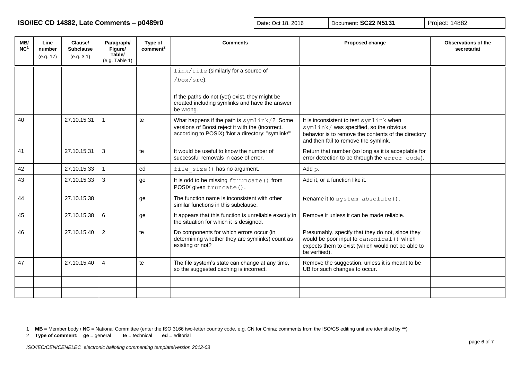| MB/<br>NC <sup>1</sup> | Line<br>number<br>(e.g. 17) | Clause/<br><b>Subclause</b><br>(e.g. 3.1) | Paragraph/<br>Figure/<br>Table/ | Type of<br>comment <sup>2</sup> | <b>Comments</b>                                                                                                                                     | <b>Proposed change</b>                                                                                                                                                          | <b>Observations of the</b><br>secretariat |
|------------------------|-----------------------------|-------------------------------------------|---------------------------------|---------------------------------|-----------------------------------------------------------------------------------------------------------------------------------------------------|---------------------------------------------------------------------------------------------------------------------------------------------------------------------------------|-------------------------------------------|
|                        |                             |                                           | (e.g. Table 1)                  |                                 |                                                                                                                                                     |                                                                                                                                                                                 |                                           |
|                        |                             |                                           |                                 |                                 | link/file (similarly for a source of                                                                                                                |                                                                                                                                                                                 |                                           |
|                        |                             |                                           |                                 |                                 | /box/src).                                                                                                                                          |                                                                                                                                                                                 |                                           |
|                        |                             |                                           |                                 |                                 | If the paths do not (yet) exist, they might be<br>created including symlinks and have the answer<br>be wrong.                                       |                                                                                                                                                                                 |                                           |
| 40                     |                             | 27.10.15.31                               |                                 | te                              | What happens if the path is symlink/? Some<br>versions of Boost reject it with the (incorrect,<br>according to POSIX) 'Not a directory: "symlink/"' | It is inconsistent to test symlink when<br>symlink/was specified, so the obvious<br>behavior is to remove the contents of the directory<br>and then fail to remove the symlink. |                                           |
| 41                     |                             | 27.10.15.31                               | 3                               | te                              | It would be useful to know the number of<br>successful removals in case of error.                                                                   | Return that number (so long as it is acceptable for<br>error detection to be through the error code).                                                                           |                                           |
| 42                     |                             | 27.10.15.33                               | $\mathbf{1}$                    | ed                              | file size () has no argument.                                                                                                                       | Add p.                                                                                                                                                                          |                                           |
| 43                     |                             | 27.10.15.33                               | 3                               | ge                              | It is odd to be missing ftruncate () from<br>POSIX given truncate ().                                                                               | Add it, or a function like it.                                                                                                                                                  |                                           |
| 44                     |                             | 27.10.15.38                               |                                 | ge                              | The function name is inconsistent with other<br>similar functions in this subclause.                                                                | Rename it to system absolute ().                                                                                                                                                |                                           |
| 45                     |                             | 27.10.15.38                               | 6                               | ge                              | It appears that this function is unreliable exactly in<br>the situation for which it is designed.                                                   | Remove it unless it can be made reliable.                                                                                                                                       |                                           |
| 46                     |                             | 27.10.15.40                               | $\overline{2}$                  | te                              | Do components for which errors occur (in<br>determining whether they are symlinks) count as<br>existing or not?                                     | Presumably, specify that they do not, since they<br>would be poor input to canonical () which<br>expects them to exist (which would not be able to<br>be verfiied).             |                                           |
| 47                     |                             | 27.10.15.40                               | $\overline{4}$                  | te                              | The file system's state can change at any time,<br>so the suggested caching is incorrect.                                                           | Remove the suggestion, unless it is meant to be<br>UB for such changes to occur.                                                                                                |                                           |
|                        |                             |                                           |                                 |                                 |                                                                                                                                                     |                                                                                                                                                                                 |                                           |
|                        |                             |                                           |                                 |                                 |                                                                                                                                                     |                                                                                                                                                                                 |                                           |